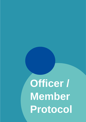# <span id="page-0-0"></span>**Officer / Member Protocol**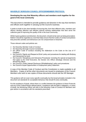# **[WAVERLEY BOROUGH COUNCIL OFFICER/MEMBER PROTOCOL](#page-0-0)**

# **Developing the way that Waverley officers and members work together for the good of the local community**

This document is intended to provide guidance and direction in the way that members and officers work together in carrying out the Council's business.

It seeks to build on the clear benefits of ensuring that, from their different roles, members and officers develop effective and efficient internal working relationships that best serve the collective goal of improving the quality of life in the local community.

Whilst it gives guidance and direction, the document, should not be seen as being prescriptive. Rather it should be regarded as a tool that helps ensure that the Codes of conduct and policies that prescribe activities and behaviours are not compromised or breached.

Those relevant codes and policies are:

- $\triangleright$  the Waverley Member Code of Conduct
- $\triangleright$  the Waverley Borough Council Constitution
- $\triangleright$  the Officer Code of Conduct including the Addendum to the Code on the Use of IT Facilities;
- $\triangleright$  the Council's 'Dignity and Respect at Work' policy and procedures for dealing with Bullying and Harassment at work
- $\triangleright$  the Council's 'Disciplinary and Grievance Procedures' including the special arrangements that apply to the Chief Executive, the Section 151 Officer (Strategic Director) and the Monitoring Officer
- the Council's 'Public Interest Disclosure (Whistleblowing)' policy and procedures
- $\triangleright$  the Council's Equal Opportunities in Employment policy statement

A copy of the Member Code of Conduct and the Constitution is made available to all Members. Copies of all the other documents are issued to employees of the Council. Members who wish to see copies of those documents should ask the HR Manager.

This guidance will not cover every specific eventuality but the broad principles included in the document set standards for acceptable behaviour that should fit every eventuality.

For the avoidance of doubt, where there is a conflict between the guidance in these Protocols and any of the Codes/Policies defined above, compliance with the latter is obligatory. In cases of doubt, the Monitoring Officer will refer to the Waverley Code of Conduct for Members and give advice in accordance with the standards prescribed.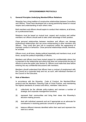# **OFFICER/MEMBER PROTOCOLS**

# **1. General Principles Underlying Member/Officer Relations**

Waverley has a long tradition of constructive relationships between Councillors and Officers. These have developed into a strong partnership based on mutual respect and understanding of each others roles.

Both members and officers should aspire to conduct their relations, at all times, on a professional basis.

Relations must be based on mutual trust, respect and courtesy and neither members nor officers should seek to take unfair advantage of their position.

Close personal relationships between members and officers can damage professional relationships and can prove embarrassing to other members and officers. They could also give rise to suspicions and/or the appearance of improper conduct or behaviour. Close personal relationships should, therefore, be avoided.

Officers must, at all times, display political impartiality and members must, at all times, accept the political impartiality of officers.

Members and officers must have mutual respect for confidentiality where that is important to the relationship and where that does not compromise the duty of officers to serve the public (see Section 3). Officers must make that clear before entering into any confidential discussions with members.

Members should understand that officers have a contract of employment with the Council as a corporate body and not, as such, with individual members of the Council or the Executive.

# **2. Role of Members**

In accordance with the Waverley Code of Conduct, the Member/Officer protocol and the Members' Planning Code of Good Practice, and maintaining the highest standards of conduct and ethics, members' roles are to:-

- (i) collectively be the ultimate policy-makers and oversee a number of strategic and corporate management functions;
- (ii) represent their communities and bring their views into Waverley's decision-making process;
- (iii) deal with individual casework and act if appropriate as an advocate for constituents in resolving particular concerns or grievances;
- (iv) balance different interests identified within their ward and represent the ward as a whole;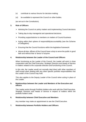- (v) contribute to various forums for decision-making;
- (vi) be available to represent the Council on other bodies.

(as set out in the Constitution).

# **3. Role of Officers**

- $\triangleright$  Advising the Council on policy matters and implementing Council decisions
- $\triangleright$  Taking day-to-day managerial and operational decisions
- $\triangleright$  Providing support/advice to members on matters of Council business
- $\triangleright$  Acting within their sphere of responsibility/accountability (see the Scheme of Delegation)
- $\triangleright$  Ensuring that the Council functions within the legislative framework
- $\triangleright$  Above all else, officers of the Council have a duty to serve the public in good faith and without fear or favour of anyone.

# **4. Relationship between the Leader of the Council and Officers**

When functioning as the Leader of the Council, the Leader will work in close cooperation with the Chief Executive, Strategic Directors and Heads of Service in matters related to the corporate direction and functioning of the Council.

In this role, the Leader would not normally deal direct with other members of staff except when dealing with any other specific portfolio responsibilities that the Leader of the Council may hold.

This also applies to the Deputy Leader of the Council when acting in place of the Leader.

# **5. Relationships between the Leader and Members of the Executive and officers**

The Leader works through Portfolio Holders who work with the Chief Executive, Strategic Directors and Heads of Service in respect of matters within the portfolio holder's brief.

# **6. Relationship between Chief Executive and Members**

Any member may make an appointment to see the Chief Executive.

# **7. Relationship between Portfolio Holders and Officers**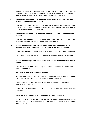Portfolio Holders work closely with and discuss and consult, as they see necessary, with the Chief Executive, Strategic Directors and/or Heads of Service and specialist officers as agreed by the Head of Service.

### **8. Relationships between Chairmen and Vice-Chairmen of Overview and Scrutiny Committees and officers**

Chairmen and Vice-Chairmen of Overview and Scrutiny Committees may seek advice from the Chief Executive, Strategic Directors (and/or Heads of Service) and any designated support officers.

# **9. Relationship between Chairman and Members of other Committees and Officers**

Chairmen of Regulatory Committees may seek advice from the Chief Executive, Strategic Directors (and/or Heads of Service).

# **10. Officer relationships with party groups (Note: Local Government and Housing Act 1989 introduced politically restricted appointments)**

Officers will do work on behalf of all political party groups fairly and consistently.

It is critical that officers respect confidentiality between political party groups.

### **11. Officer relationships with other individuals who are members of Council bodies**

This protocol will apply also to lay or co-opted Members of Committees or Working Groups etc.

# **12. Members in their ward role and officers**

Members may seek advice from relevant officer(s) on ward matters and, if they wish to do so, may first inform the relevant Head of Service.

Those relevant officer(s) will advise the Chief Executive or their Head of Service as appropriate.

Officers should keep ward Councillors informed of relevant matters affecting their ward.

# **13. Publicity, Press Releases and other contact with the Media**

NOTE: The specific rules governing such activities of members are set out in Section 2 of the Local Government Act 1986 and the Code of Practice on Local Authority Publicity.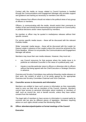Contact with the media on issues related to Council business is handled through the Communications and Engagement Manager who provides support and guidance and training as necessary to members and officers.

Press releases from officers should not relate to the political views of any group of officers or members.

Officers, in communicating with the media, should restrict their comments to matters of fact and should avoid expressing personal opinions on Council policy or political decisions and/or views expressed by members.

No member or officer may be quoted in media/press releases without their specific consent.

For service specific media issues – these will be discussed with the relevant Portfolio Holder.

Wider 'corporate' media issues – these will be discussed with the Leader (or Deputy Leader in absence of the Leader) unless this cannot be achieved by the Press deadline. Where it is not possible, the Communications and Engagement Manager will advise.

Members may issue their own media releases. However, they must not: -

- use Council resources for that purpose where the media issue is to publicise an individual Councillor or the views of a political party; and
- impute or ascribe particular views to officers or otherwise refer to officers without that being agreed with the Chief Executive or Strategic Directors in advance.

Overview and Scrutiny Committees may authorise Waverley media releases on their work, the content of which is to be jointly agreed by the appropriate Overview and Scrutiny Committee Chairman and Vice-Chairman.

### **14. Councillor access to documents and information**

Members are entitled to have such access to information as they reasonably need to carry out their role as members of the Council. However, Members cannot have access to personal information about residents or members of staff, such as council tax, rent or benefit records, unless they have written consent from the individual.

The legal right of members to have access to information is covered partly by common law but also by different pieces of legislation. Members requiring advice on such rights should contact the Monitoring Officer.

# **15. Officer attendance/participation at formal meetings of the Council**

### **Executive**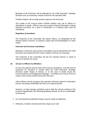Meetings of the Executive will be attended by the Chief Executive, Strategic Directors and, as necessary, Heads of Service and specialist staff.

Portfolio Holders will normally present reports to the Executive.

The Leader of the Council and/or Portfolio Holders may call on officers in attendance to speak. Officers may ask to speak if factual information is being reported incorrectly, for a point of clarification or if relevant data could be overlooked.

### **Regulatory Committees**

The Chairman of the Committee will require officers, as designated by the relevant Head of Service, to present a report and recommendations on each matter

### **Overview and Scrutiny Committees**

Meetings of Overview and Scrutiny Committees may be attended by the Chief Executive and relevant Director and/or Heads of Service as necessary.

The Chairman of the Committee will ask the relevant Director or Head of Service to present the report.

### **16. Access to Officers by Members**

On any new specific service issue and to ensure consistency, it should only be necessary for members to contact either the Chief Executive, Strategic Directors and/or Heads of Service, or in the case of media issues the Communications and Engagement Manager. If members are unsure of who to contact, they should contact Democratic Services.

These officers should recognise that members will have needs for information that are not always predictable and will try to respond quickly.

However, to help manage workloads and to help the smooth working of the Council's departments, the following guidelines should, so far as is practicable, be observed.

- $\triangleright$  An uninvolved/uncomplicated enquiry may be made by telephone.
- $\triangleright$  Otherwise, members should send their enquiry by e-mail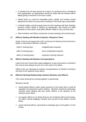- $\triangleright$  If members do not have access to e-mail or if a personal visit is considered more appropriate, an appointment should be made with the relevant officer ideally giving a minimum of 24 hours' notice.
- $\triangleright$  Where there is a need for immediate action, ideally, the member should telephone the officer to ensure that a meeting on the same day is practicable.
- $\triangleright$  Portfolio Holders should arrange times for their meetings with their Strategic Directors and/or Heads of Service as appropriate, and should not make demands on time which could affect officers' ability to carry out their jobs.
- $\triangleright$  Both members and officers should aim to keep meetings short and focused.

# **17. Officers Dealing with Member Enquiries: Response Times**

Heads of Service will support their staff in achieving the following broad performance targets in responding to Member's enquiries: -

| within 2 working days    | straightforward enquiries    |
|--------------------------|------------------------------|
| within 5 working days    | more complicated enquiries   |
| within 15 working days - | enquiries involving research |

### **18. Officers Dealing with Member Correspondence**

Letters from the Council that create obligations or give instructions on behalf of the Council must always be sent out in the name of an officer.

Officers who are requested to prepare correspondence on behalf of members will work to the response times above.

### **19. Effective Working Relationships between Members and Officers**

This is best achieved by working together in partnership.

Members should:

- $\triangleright$  avoid putting officers under undue pressure to the extent that it could be regarded as harassment and/or bullying. Members should be particularly sensitive when dealing with less senior officers in the absence of the relevant senior officer.
- $\triangleright$  not require officers to do things that are not consistent with Council policy, not within normal budgetary controls and not part of the officer's normal duties.
- $\triangleright$  avoid criticising officers, particularly at meetings open to the public or in the media;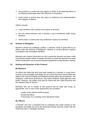- $\triangleright$  avoid actions or words that may appear to others to be attaching blame to an officer(s) particularly when the officer(s) is not present
- $\triangleright$  avoid words or actions that may serve to undermine the professionalism and integrity of officers.

Officers should:

- $\triangleright$  Treat members with courtesy and respect at all times;
- $\triangleright$  Not use undue influence over a member or put a member(s) under undue pressure
- $\triangleright$  Avoid words or actions that may undermine respect for members

### **20. Scheme of Delegation**

Members should not challenge, publicly, a decision made in good faith by an officer under the Scheme of Delegation, whether or not that decision requires consultation with nominated members.

Members who require information on why a particular decision has been made may ask the relevant officer to explain the basis on which the decision has been made including the use of any pre-prepared guidelines to help decision-making.

# **21. Dealing with Breaches of this Protocol**

# **By Members**

An officer who feels that they have been treated by a member in a way that is contrary to the principles and ideals set out in this document should follow the steps in the Council's Dignity and Respect at Work policy and procedures. The employee, under those procedures, may follow whatever initial approach they prefer. However, the matter must also be raised with the Chief Executive and the relevant Head of Service.

Members who are in breach of this protocol will be dealt with using, as appropriate, one or more of the approaches set out below:-

Leader of the relevant political group Monitoring Officer If necessary, by a meeting of the Standards Panel.

### **By Officers**

A Member who has a complaint that an employee has acted contrary to the principles and ideals set out in this document should raise the matter with the Chief Executive or Strategic Directors.